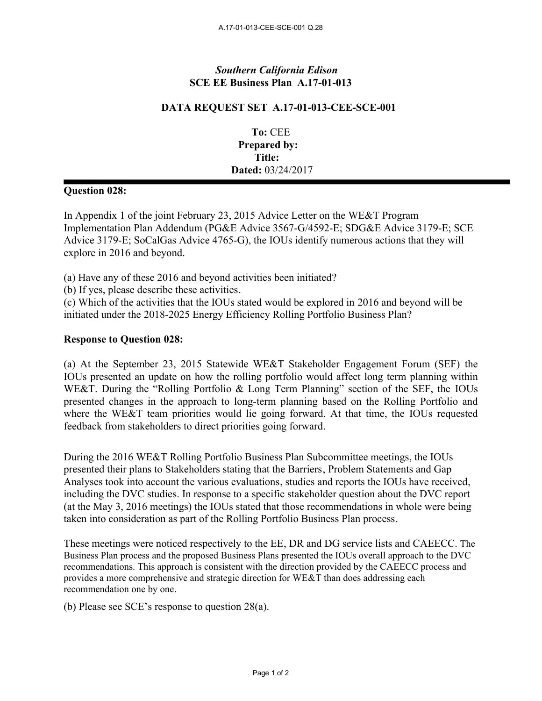## *Southern California Edison* **SCE EE Business Plan A.17-01-013**

## **DATA REQUEST SET A.17-01-013-CEE-SCE-001**

**To:** CEE **Prepared by: Title: Dated:** 03/24/2017

## **Question 028:**

In Appendix 1 of the joint February 23, 2015 Advice Letter on the WE&T Program Implementation Plan Addendum (PG&E Advice 3567-G/4592-E; SDG&E Advice 3179-E; SCE Advice 3179-E; SoCalGas Advice 4765-G), the IOUs identify numerous actions that they will explore in 2016 and beyond.

(a) Have any of these 2016 and beyond activities been initiated?

(b) If yes, please describe these activities.

(c) Which of the activities that the IOUs stated would be explored in 2016 and beyond will be initiated under the 2018-2025 Energy Efficiency Rolling Portfolio Business Plan?

## **Response to Question 028:**

(a) At the September 23, 2015 Statewide WE&T Stakeholder Engagement Forum (SEF) the IOUs presented an update on how the rolling portfolio would affect long term planning within WE&T. During the "Rolling Portfolio & Long Term Planning" section of the SEF, the IOUs presented changes in the approach to long-term planning based on the Rolling Portfolio and where the WE&T team priorities would lie going forward. At that time, the IOUs requested feedback from stakeholders to direct priorities going forward.

During the 2016 WE&T Rolling Portfolio Business Plan Subcommittee meetings, the IOUs presented their plans to Stakeholders stating that the Barriers, Problem Statements and Gap Analyses took into account the various evaluations, studies and reports the IOUs have received, including the DVC studies. In response to a specific stakeholder question about the DVC report (at the May 3, 2016 meetings) the IOUs stated that those recommendations in whole were being taken into consideration as part of the Rolling Portfolio Business Plan process.

These meetings were noticed respectively to the EE, DR and DG service lists and CAEECC. The Business Plan process and the proposed Business Plans presented the IOUs overall approach to the DVC recommendations. This approach is consistent with the direction provided by the CAEECC process and provides a more comprehensive and strategic direction for WE&T than does addressing each recommendation one by one.

(b) Please see SCE's response to question 28(a).